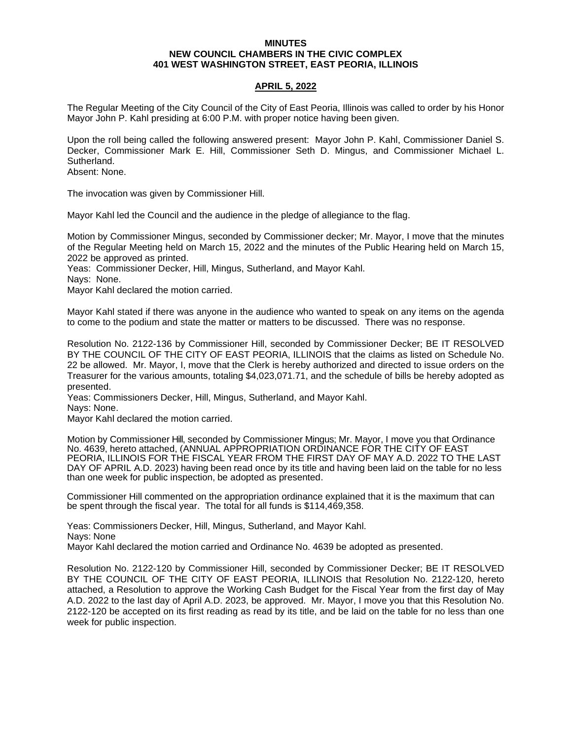### **MINUTES NEW COUNCIL CHAMBERS IN THE CIVIC COMPLEX 401 WEST WASHINGTON STREET, EAST PEORIA, ILLINOIS**

# **APRIL 5, 2022**

The Regular Meeting of the City Council of the City of East Peoria, Illinois was called to order by his Honor Mayor John P. Kahl presiding at 6:00 P.M. with proper notice having been given.

Upon the roll being called the following answered present: Mayor John P. Kahl, Commissioner Daniel S. Decker, Commissioner Mark E. Hill, Commissioner Seth D. Mingus, and Commissioner Michael L. Sutherland.

Absent: None.

The invocation was given by Commissioner Hill.

Mayor Kahl led the Council and the audience in the pledge of allegiance to the flag.

Motion by Commissioner Mingus, seconded by Commissioner decker; Mr. Mayor, I move that the minutes of the Regular Meeting held on March 15, 2022 and the minutes of the Public Hearing held on March 15, 2022 be approved as printed.

Yeas: Commissioner Decker, Hill, Mingus, Sutherland, and Mayor Kahl.

Nays: None.

Mayor Kahl declared the motion carried.

Mayor Kahl stated if there was anyone in the audience who wanted to speak on any items on the agenda to come to the podium and state the matter or matters to be discussed. There was no response.

Resolution No. 2122-136 by Commissioner Hill, seconded by Commissioner Decker; BE IT RESOLVED BY THE COUNCIL OF THE CITY OF EAST PEORIA, ILLINOIS that the claims as listed on Schedule No. 22 be allowed. Mr. Mayor, I, move that the Clerk is hereby authorized and directed to issue orders on the Treasurer for the various amounts, totaling \$4,023,071.71, and the schedule of bills be hereby adopted as presented.

Yeas: Commissioners Decker, Hill, Mingus, Sutherland, and Mayor Kahl.

Nays: None.

Mayor Kahl declared the motion carried.

Motion by Commissioner Hill, seconded by Commissioner Mingus; Mr. Mayor, I move you that Ordinance No. 4639, hereto attached, (ANNUAL APPROPRIATION ORDINANCE FOR THE CITY OF EAST PEORIA, ILLINOIS FOR THE FISCAL YEAR FROM THE FIRST DAY OF MAY A.D. 2022 TO THE LAST DAY OF APRIL A.D. 2023) having been read once by its title and having been laid on the table for no less than one week for public inspection, be adopted as presented.

Commissioner Hill commented on the appropriation ordinance explained that it is the maximum that can be spent through the fiscal year. The total for all funds is \$114,469,358.

Yeas: Commissioners Decker, Hill, Mingus, Sutherland, and Mayor Kahl. Nays: None Mayor Kahl declared the motion carried and Ordinance No. 4639 be adopted as presented.

Resolution No. 2122-120 by Commissioner Hill, seconded by Commissioner Decker; BE IT RESOLVED BY THE COUNCIL OF THE CITY OF EAST PEORIA, ILLINOIS that Resolution No. 2122-120, hereto attached, a Resolution to approve the Working Cash Budget for the Fiscal Year from the first day of May A.D. 2022 to the last day of April A.D. 2023, be approved. Mr. Mayor, I move you that this Resolution No. 2122-120 be accepted on its first reading as read by its title, and be laid on the table for no less than one week for public inspection.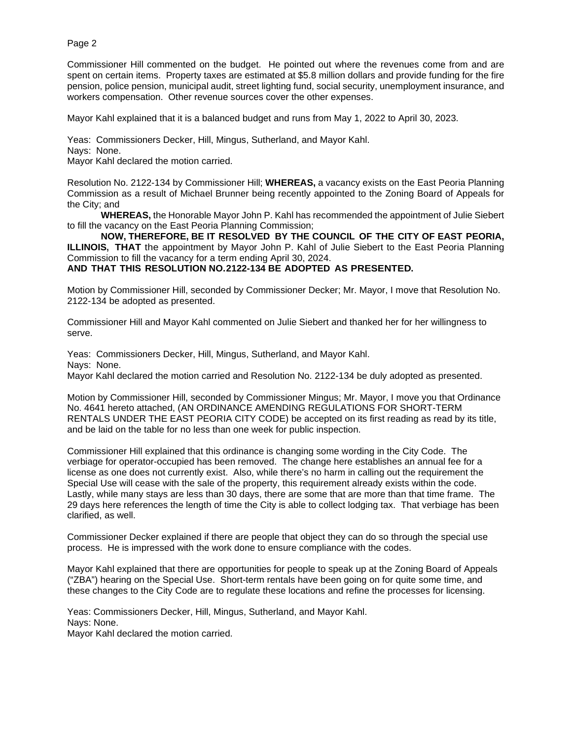Commissioner Hill commented on the budget. He pointed out where the revenues come from and are spent on certain items. Property taxes are estimated at \$5.8 million dollars and provide funding for the fire pension, police pension, municipal audit, street lighting fund, social security, unemployment insurance, and workers compensation. Other revenue sources cover the other expenses.

Mayor Kahl explained that it is a balanced budget and runs from May 1, 2022 to April 30, 2023.

Yeas: Commissioners Decker, Hill, Mingus, Sutherland, and Mayor Kahl. Nays: None.

Mayor Kahl declared the motion carried.

Resolution No. 2122-134 by Commissioner Hill; **WHEREAS,** a vacancy exists on the East Peoria Planning Commission as a result of Michael Brunner being recently appointed to the Zoning Board of Appeals for the City; and

**WHEREAS,** the Honorable Mayor John P. Kahl has recommended the appointment of Julie Siebert to fill the vacancy on the East Peoria Planning Commission;

**NOW, THEREFORE, BE IT RESOLVED BY THE COUNCIL OF THE CITY OF EAST PEORIA, ILLINOIS, THAT** the appointment by Mayor John P. Kahl of Julie Siebert to the East Peoria Planning Commission to fill the vacancy for a term ending April 30, 2024.

**AND THAT THIS RESOLUTION NO. 2122-134 BE ADOPTED AS PRESENTED.**

Motion by Commissioner Hill, seconded by Commissioner Decker; Mr. Mayor, I move that Resolution No. 2122-134 be adopted as presented.

Commissioner Hill and Mayor Kahl commented on Julie Siebert and thanked her for her willingness to serve.

Yeas: Commissioners Decker, Hill, Mingus, Sutherland, and Mayor Kahl. Nays: None. Mayor Kahl declared the motion carried and Resolution No. 2122-134 be duly adopted as presented.

Motion by Commissioner Hill, seconded by Commissioner Mingus; Mr. Mayor, I move you that Ordinance No. 4641 hereto attached, (AN ORDINANCE AMENDING REGULATIONS FOR SHORT-TERM RENTALS UNDER THE EAST PEORIA CITY CODE) be accepted on its first reading as read by its title, and be laid on the table for no less than one week for public inspection.

Commissioner Hill explained that this ordinance is changing some wording in the City Code. The verbiage for operator-occupied has been removed. The change here establishes an annual fee for a license as one does not currently exist. Also, while there's no harm in calling out the requirement the Special Use will cease with the sale of the property, this requirement already exists within the code. Lastly, while many stays are less than 30 days, there are some that are more than that time frame. The 29 days here references the length of time the City is able to collect lodging tax. That verbiage has been clarified, as well.

Commissioner Decker explained if there are people that object they can do so through the special use process. He is impressed with the work done to ensure compliance with the codes.

Mayor Kahl explained that there are opportunities for people to speak up at the Zoning Board of Appeals ("ZBA") hearing on the Special Use. Short-term rentals have been going on for quite some time, and these changes to the City Code are to regulate these locations and refine the processes for licensing.

Yeas: Commissioners Decker, Hill, Mingus, Sutherland, and Mayor Kahl. Nays: None. Mayor Kahl declared the motion carried.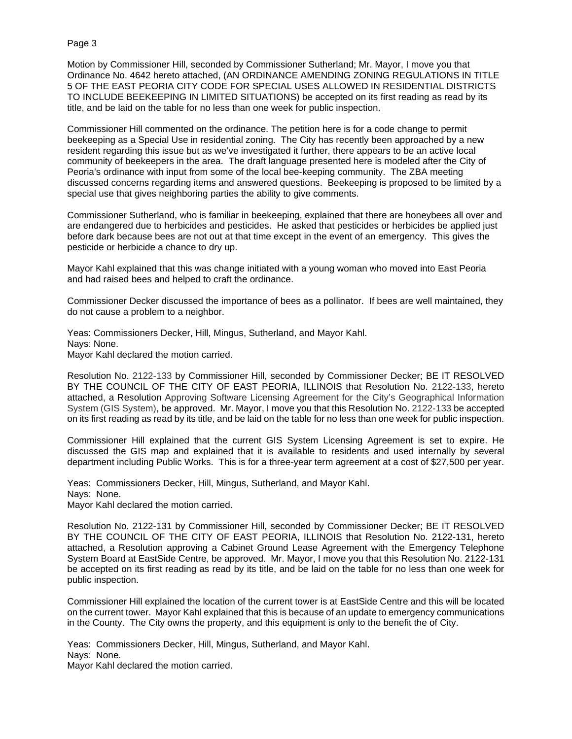Motion by Commissioner Hill, seconded by Commissioner Sutherland; Mr. Mayor, I move you that Ordinance No. 4642 hereto attached, (AN ORDINANCE AMENDING ZONING REGULATIONS IN TITLE 5 OF THE EAST PEORIA CITY CODE FOR SPECIAL USES ALLOWED IN RESIDENTIAL DISTRICTS TO INCLUDE BEEKEEPING IN LIMITED SITUATIONS) be accepted on its first reading as read by its title, and be laid on the table for no less than one week for public inspection.

Commissioner Hill commented on the ordinance. The petition here is for a code change to permit beekeeping as a Special Use in residential zoning. The City has recently been approached by a new resident regarding this issue but as we've investigated it further, there appears to be an active local community of beekeepers in the area. The draft language presented here is modeled after the City of Peoria's ordinance with input from some of the local bee-keeping community. The ZBA meeting discussed concerns regarding items and answered questions. Beekeeping is proposed to be limited by a special use that gives neighboring parties the ability to give comments.

Commissioner Sutherland, who is familiar in beekeeping, explained that there are honeybees all over and are endangered due to herbicides and pesticides. He asked that pesticides or herbicides be applied just before dark because bees are not out at that time except in the event of an emergency. This gives the pesticide or herbicide a chance to dry up.

Mayor Kahl explained that this was change initiated with a young woman who moved into East Peoria and had raised bees and helped to craft the ordinance.

Commissioner Decker discussed the importance of bees as a pollinator. If bees are well maintained, they do not cause a problem to a neighbor.

Yeas: Commissioners Decker, Hill, Mingus, Sutherland, and Mayor Kahl. Nays: None. Mayor Kahl declared the motion carried.

Resolution No. 2122-133 by Commissioner Hill, seconded by Commissioner Decker; BE IT RESOLVED BY THE COUNCIL OF THE CITY OF EAST PEORIA, ILLINOIS that Resolution No. 2122-133, hereto attached, a Resolution Approving Software Licensing Agreement for the City's Geographical Information System (GIS System), be approved. Mr. Mayor, I move you that this Resolution No. 2122-133 be accepted on its first reading as read by its title, and be laid on the table for no less than one week for public inspection.

Commissioner Hill explained that the current GIS System Licensing Agreement is set to expire. He discussed the GIS map and explained that it is available to residents and used internally by several department including Public Works. This is for a three-year term agreement at a cost of \$27,500 per year.

Yeas: Commissioners Decker, Hill, Mingus, Sutherland, and Mayor Kahl. Nays: None. Mayor Kahl declared the motion carried.

Resolution No. 2122-131 by Commissioner Hill, seconded by Commissioner Decker; BE IT RESOLVED BY THE COUNCIL OF THE CITY OF EAST PEORIA, ILLINOIS that Resolution No. 2122-131, hereto attached, a Resolution approving a Cabinet Ground Lease Agreement with the Emergency Telephone System Board at EastSide Centre, be approved. Mr. Mayor, I move you that this Resolution No. 2122-131 be accepted on its first reading as read by its title, and be laid on the table for no less than one week for public inspection.

Commissioner Hill explained the location of the current tower is at EastSide Centre and this will be located on the current tower. Mayor Kahl explained that this is because of an update to emergency communications in the County. The City owns the property, and this equipment is only to the benefit the of City.

Yeas: Commissioners Decker, Hill, Mingus, Sutherland, and Mayor Kahl. Nays: None. Mayor Kahl declared the motion carried.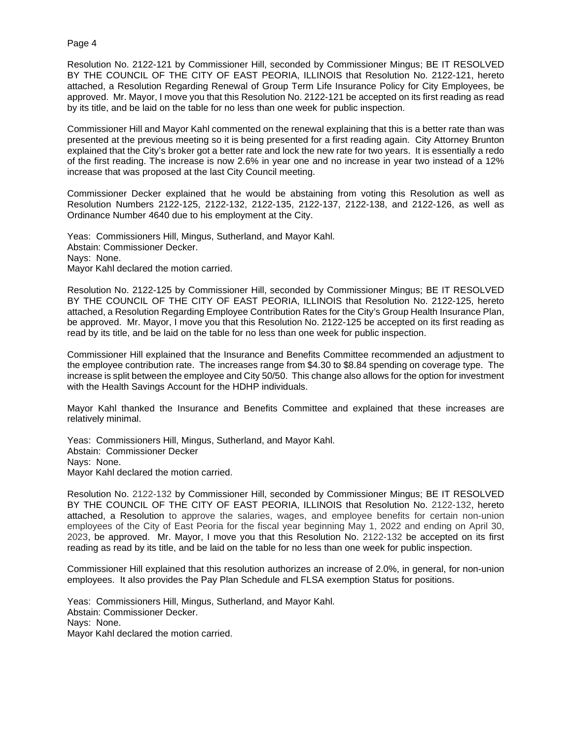Resolution No. 2122-121 by Commissioner Hill, seconded by Commissioner Mingus; BE IT RESOLVED BY THE COUNCIL OF THE CITY OF EAST PEORIA, ILLINOIS that Resolution No. 2122-121, hereto attached, a Resolution Regarding Renewal of Group Term Life Insurance Policy for City Employees, be approved. Mr. Mayor, I move you that this Resolution No. 2122-121 be accepted on its first reading as read by its title, and be laid on the table for no less than one week for public inspection.

Commissioner Hill and Mayor Kahl commented on the renewal explaining that this is a better rate than was presented at the previous meeting so it is being presented for a first reading again. City Attorney Brunton explained that the City's broker got a better rate and lock the new rate for two years. It is essentially a redo of the first reading. The increase is now 2.6% in year one and no increase in year two instead of a 12% increase that was proposed at the last City Council meeting.

Commissioner Decker explained that he would be abstaining from voting this Resolution as well as Resolution Numbers 2122-125, 2122-132, 2122-135, 2122-137, 2122-138, and 2122-126, as well as Ordinance Number 4640 due to his employment at the City.

Yeas: Commissioners Hill, Mingus, Sutherland, and Mayor Kahl. Abstain: Commissioner Decker. Nays: None. Mayor Kahl declared the motion carried.

Resolution No. 2122-125 by Commissioner Hill, seconded by Commissioner Mingus; BE IT RESOLVED BY THE COUNCIL OF THE CITY OF EAST PEORIA, ILLINOIS that Resolution No. 2122-125, hereto attached, a Resolution Regarding Employee Contribution Rates for the City's Group Health Insurance Plan, be approved. Mr. Mayor, I move you that this Resolution No. 2122-125 be accepted on its first reading as read by its title, and be laid on the table for no less than one week for public inspection.

Commissioner Hill explained that the Insurance and Benefits Committee recommended an adjustment to the employee contribution rate. The increases range from \$4.30 to \$8.84 spending on coverage type. The increase is split between the employee and City 50/50. This change also allows for the option for investment with the Health Savings Account for the HDHP individuals.

Mayor Kahl thanked the Insurance and Benefits Committee and explained that these increases are relatively minimal.

Yeas: Commissioners Hill, Mingus, Sutherland, and Mayor Kahl. Abstain: Commissioner Decker Nays: None. Mayor Kahl declared the motion carried.

Resolution No. 2122-132 by Commissioner Hill, seconded by Commissioner Mingus; BE IT RESOLVED BY THE COUNCIL OF THE CITY OF EAST PEORIA, ILLINOIS that Resolution No. 2122-132, hereto attached, a Resolution to approve the salaries, wages, and employee benefits for certain non-union employees of the City of East Peoria for the fiscal year beginning May 1, 2022 and ending on April 30, 2023, be approved. Mr. Mayor, I move you that this Resolution No. 2122-132 be accepted on its first reading as read by its title, and be laid on the table for no less than one week for public inspection.

Commissioner Hill explained that this resolution authorizes an increase of 2.0%, in general, for non-union employees. It also provides the Pay Plan Schedule and FLSA exemption Status for positions.

Yeas: Commissioners Hill, Mingus, Sutherland, and Mayor Kahl. Abstain: Commissioner Decker. Nays: None. Mayor Kahl declared the motion carried.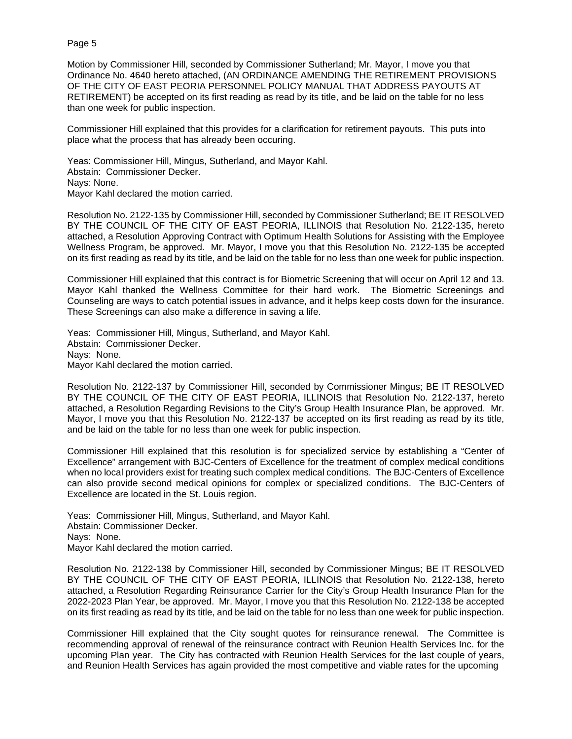Motion by Commissioner Hill, seconded by Commissioner Sutherland; Mr. Mayor, I move you that Ordinance No. 4640 hereto attached, (AN ORDINANCE AMENDING THE RETIREMENT PROVISIONS OF THE CITY OF EAST PEORIA PERSONNEL POLICY MANUAL THAT ADDRESS PAYOUTS AT RETIREMENT) be accepted on its first reading as read by its title, and be laid on the table for no less than one week for public inspection.

Commissioner Hill explained that this provides for a clarification for retirement payouts. This puts into place what the process that has already been occuring.

Yeas: Commissioner Hill, Mingus, Sutherland, and Mayor Kahl. Abstain: Commissioner Decker. Nays: None. Mayor Kahl declared the motion carried.

Resolution No. 2122-135 by Commissioner Hill, seconded by Commissioner Sutherland; BE IT RESOLVED BY THE COUNCIL OF THE CITY OF EAST PEORIA, ILLINOIS that Resolution No. 2122-135, hereto attached, a Resolution Approving Contract with Optimum Health Solutions for Assisting with the Employee Wellness Program, be approved. Mr. Mayor, I move you that this Resolution No. 2122-135 be accepted on its first reading as read by its title, and be laid on the table for no less than one week for public inspection.

Commissioner Hill explained that this contract is for Biometric Screening that will occur on April 12 and 13. Mayor Kahl thanked the Wellness Committee for their hard work. The Biometric Screenings and Counseling are ways to catch potential issues in advance, and it helps keep costs down for the insurance. These Screenings can also make a difference in saving a life.

Yeas: Commissioner Hill, Mingus, Sutherland, and Mayor Kahl. Abstain: Commissioner Decker. Nays: None. Mayor Kahl declared the motion carried.

Resolution No. 2122-137 by Commissioner Hill, seconded by Commissioner Mingus; BE IT RESOLVED BY THE COUNCIL OF THE CITY OF EAST PEORIA, ILLINOIS that Resolution No. 2122-137, hereto attached, a Resolution Regarding Revisions to the City's Group Health Insurance Plan, be approved. Mr. Mayor, I move you that this Resolution No. 2122-137 be accepted on its first reading as read by its title, and be laid on the table for no less than one week for public inspection.

Commissioner Hill explained that this resolution is for specialized service by establishing a "Center of Excellence" arrangement with BJC-Centers of Excellence for the treatment of complex medical conditions when no local providers exist for treating such complex medical conditions. The BJC-Centers of Excellence can also provide second medical opinions for complex or specialized conditions. The BJC-Centers of Excellence are located in the St. Louis region.

Yeas: Commissioner Hill, Mingus, Sutherland, and Mayor Kahl. Abstain: Commissioner Decker. Nays: None. Mayor Kahl declared the motion carried.

Resolution No. 2122-138 by Commissioner Hill, seconded by Commissioner Mingus; BE IT RESOLVED BY THE COUNCIL OF THE CITY OF EAST PEORIA, ILLINOIS that Resolution No. 2122-138, hereto attached, a Resolution Regarding Reinsurance Carrier for the City's Group Health Insurance Plan for the 2022-2023 Plan Year, be approved. Mr. Mayor, I move you that this Resolution No. 2122-138 be accepted on its first reading as read by its title, and be laid on the table for no less than one week for public inspection.

Commissioner Hill explained that the City sought quotes for reinsurance renewal. The Committee is recommending approval of renewal of the reinsurance contract with Reunion Health Services Inc. for the upcoming Plan year. The City has contracted with Reunion Health Services for the last couple of years, and Reunion Health Services has again provided the most competitive and viable rates for the upcoming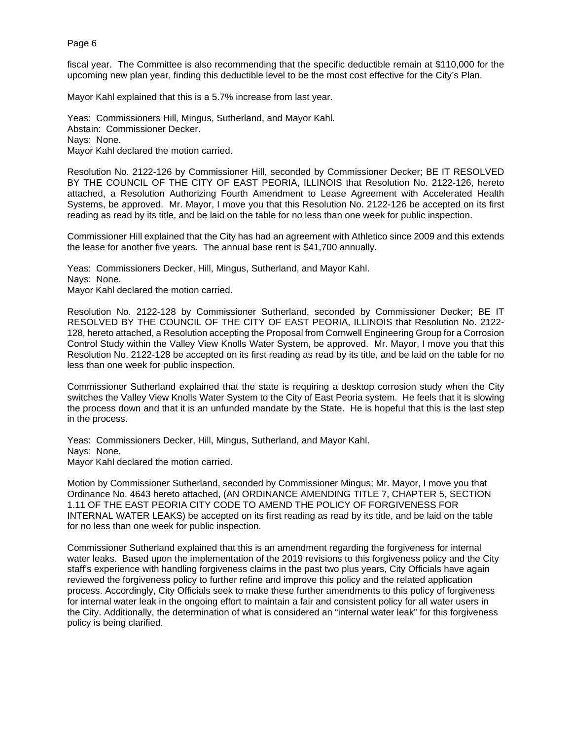fiscal year. The Committee is also recommending that the specific deductible remain at \$110,000 for the upcoming new plan year, finding this deductible level to be the most cost effective for the City's Plan.

Mayor Kahl explained that this is a 5.7% increase from last year.

Yeas: Commissioners Hill, Mingus, Sutherland, and Mayor Kahl. Abstain: Commissioner Decker. Nays: None. Mayor Kahl declared the motion carried.

Resolution No. 2122-126 by Commissioner Hill, seconded by Commissioner Decker; BE IT RESOLVED BY THE COUNCIL OF THE CITY OF EAST PEORIA, ILLINOIS that Resolution No. 2122-126, hereto attached, a Resolution Authorizing Fourth Amendment to Lease Agreement with Accelerated Health Systems, be approved. Mr. Mayor, I move you that this Resolution No. 2122-126 be accepted on its first reading as read by its title, and be laid on the table for no less than one week for public inspection.

Commissioner Hill explained that the City has had an agreement with Athletico since 2009 and this extends the lease for another five years. The annual base rent is \$41,700 annually.

Yeas: Commissioners Decker, Hill, Mingus, Sutherland, and Mayor Kahl. Nays: None. Mayor Kahl declared the motion carried.

Resolution No. 2122-128 by Commissioner Sutherland, seconded by Commissioner Decker; BE IT RESOLVED BY THE COUNCIL OF THE CITY OF EAST PEORIA, ILLINOIS that Resolution No. 2122- 128, hereto attached, a Resolution accepting the Proposal from Cornwell Engineering Group for a Corrosion Control Study within the Valley View Knolls Water System, be approved. Mr. Mayor, I move you that this Resolution No. 2122-128 be accepted on its first reading as read by its title, and be laid on the table for no less than one week for public inspection.

Commissioner Sutherland explained that the state is requiring a desktop corrosion study when the City switches the Valley View Knolls Water System to the City of East Peoria system. He feels that it is slowing the process down and that it is an unfunded mandate by the State. He is hopeful that this is the last step in the process.

Yeas: Commissioners Decker, Hill, Mingus, Sutherland, and Mayor Kahl. Nays: None. Mayor Kahl declared the motion carried.

Motion by Commissioner Sutherland, seconded by Commissioner Mingus; Mr. Mayor, I move you that Ordinance No. 4643 hereto attached, (AN ORDINANCE AMENDING TITLE 7, CHAPTER 5, SECTION 1.11 OF THE EAST PEORIA CITY CODE TO AMEND THE POLICY OF FORGIVENESS FOR INTERNAL WATER LEAKS) be accepted on its first reading as read by its title, and be laid on the table for no less than one week for public inspection.

Commissioner Sutherland explained that this is an amendment regarding the forgiveness for internal water leaks. Based upon the implementation of the 2019 revisions to this forgiveness policy and the City staff's experience with handling forgiveness claims in the past two plus years, City Officials have again reviewed the forgiveness policy to further refine and improve this policy and the related application process. Accordingly, City Officials seek to make these further amendments to this policy of forgiveness for internal water leak in the ongoing effort to maintain a fair and consistent policy for all water users in the City. Additionally, the determination of what is considered an "internal water leak" for this forgiveness policy is being clarified.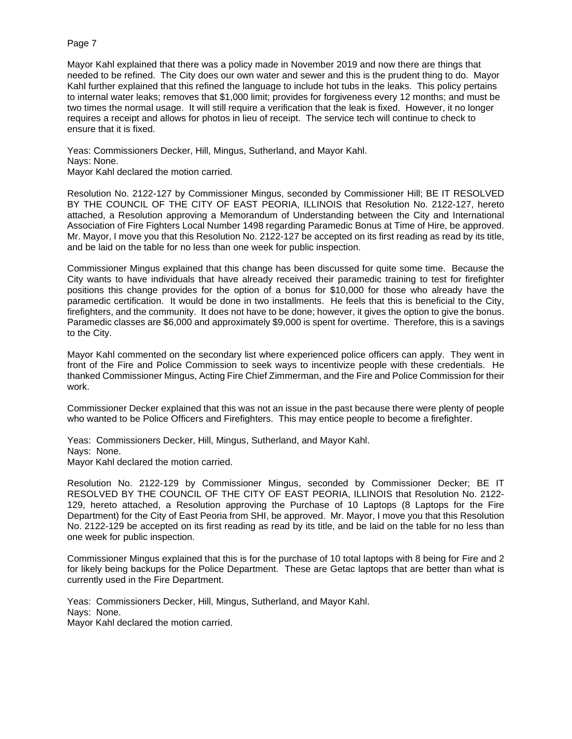Mayor Kahl explained that there was a policy made in November 2019 and now there are things that needed to be refined. The City does our own water and sewer and this is the prudent thing to do. Mayor Kahl further explained that this refined the language to include hot tubs in the leaks. This policy pertains to internal water leaks; removes that \$1,000 limit; provides for forgiveness every 12 months; and must be two times the normal usage. It will still require a verification that the leak is fixed. However, it no longer requires a receipt and allows for photos in lieu of receipt. The service tech will continue to check to ensure that it is fixed.

Yeas: Commissioners Decker, Hill, Mingus, Sutherland, and Mayor Kahl. Nays: None. Mayor Kahl declared the motion carried.

Resolution No. 2122-127 by Commissioner Mingus, seconded by Commissioner Hill; BE IT RESOLVED BY THE COUNCIL OF THE CITY OF EAST PEORIA, ILLINOIS that Resolution No. 2122-127, hereto attached, a Resolution approving a Memorandum of Understanding between the City and International Association of Fire Fighters Local Number 1498 regarding Paramedic Bonus at Time of Hire, be approved. Mr. Mayor, I move you that this Resolution No. 2122-127 be accepted on its first reading as read by its title, and be laid on the table for no less than one week for public inspection.

Commissioner Mingus explained that this change has been discussed for quite some time. Because the City wants to have individuals that have already received their paramedic training to test for firefighter positions this change provides for the option of a bonus for \$10,000 for those who already have the paramedic certification. It would be done in two installments. He feels that this is beneficial to the City, firefighters, and the community. It does not have to be done; however, it gives the option to give the bonus. Paramedic classes are \$6,000 and approximately \$9,000 is spent for overtime. Therefore, this is a savings to the City.

Mayor Kahl commented on the secondary list where experienced police officers can apply. They went in front of the Fire and Police Commission to seek ways to incentivize people with these credentials. He thanked Commissioner Mingus, Acting Fire Chief Zimmerman, and the Fire and Police Commission for their work.

Commissioner Decker explained that this was not an issue in the past because there were plenty of people who wanted to be Police Officers and Firefighters. This may entice people to become a firefighter.

Yeas: Commissioners Decker, Hill, Mingus, Sutherland, and Mayor Kahl. Nays: None. Mayor Kahl declared the motion carried.

Resolution No. 2122-129 by Commissioner Mingus, seconded by Commissioner Decker; BE IT RESOLVED BY THE COUNCIL OF THE CITY OF EAST PEORIA, ILLINOIS that Resolution No. 2122- 129, hereto attached, a Resolution approving the Purchase of 10 Laptops (8 Laptops for the Fire Department) for the City of East Peoria from SHI, be approved. Mr. Mayor, I move you that this Resolution No. 2122-129 be accepted on its first reading as read by its title, and be laid on the table for no less than one week for public inspection.

Commissioner Mingus explained that this is for the purchase of 10 total laptops with 8 being for Fire and 2 for likely being backups for the Police Department. These are Getac laptops that are better than what is currently used in the Fire Department.

Yeas: Commissioners Decker, Hill, Mingus, Sutherland, and Mayor Kahl. Nays: None. Mayor Kahl declared the motion carried.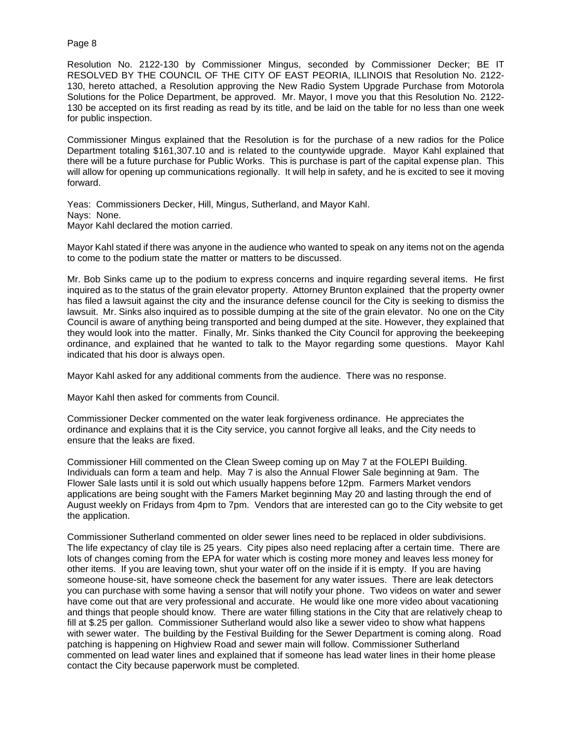Resolution No. 2122-130 by Commissioner Mingus, seconded by Commissioner Decker; BE IT RESOLVED BY THE COUNCIL OF THE CITY OF EAST PEORIA, ILLINOIS that Resolution No. 2122- 130, hereto attached, a Resolution approving the New Radio System Upgrade Purchase from Motorola Solutions for the Police Department, be approved. Mr. Mayor, I move you that this Resolution No. 2122- 130 be accepted on its first reading as read by its title, and be laid on the table for no less than one week for public inspection.

Commissioner Mingus explained that the Resolution is for the purchase of a new radios for the Police Department totaling \$161,307.10 and is related to the countywide upgrade. Mayor Kahl explained that there will be a future purchase for Public Works. This is purchase is part of the capital expense plan. This will allow for opening up communications regionally. It will help in safety, and he is excited to see it moving forward.

Yeas: Commissioners Decker, Hill, Mingus, Sutherland, and Mayor Kahl. Nays: None. Mayor Kahl declared the motion carried.

Mayor Kahl stated if there was anyone in the audience who wanted to speak on any items not on the agenda to come to the podium state the matter or matters to be discussed.

Mr. Bob Sinks came up to the podium to express concerns and inquire regarding several items. He first inquired as to the status of the grain elevator property. Attorney Brunton explained that the property owner has filed a lawsuit against the city and the insurance defense council for the City is seeking to dismiss the lawsuit. Mr. Sinks also inquired as to possible dumping at the site of the grain elevator. No one on the City Council is aware of anything being transported and being dumped at the site. However, they explained that they would look into the matter. Finally, Mr. Sinks thanked the City Council for approving the beekeeping ordinance, and explained that he wanted to talk to the Mayor regarding some questions. Mayor Kahl indicated that his door is always open.

Mayor Kahl asked for any additional comments from the audience. There was no response.

Mayor Kahl then asked for comments from Council.

Commissioner Decker commented on the water leak forgiveness ordinance. He appreciates the ordinance and explains that it is the City service, you cannot forgive all leaks, and the City needs to ensure that the leaks are fixed.

Commissioner Hill commented on the Clean Sweep coming up on May 7 at the FOLEPI Building. Individuals can form a team and help. May 7 is also the Annual Flower Sale beginning at 9am. The Flower Sale lasts until it is sold out which usually happens before 12pm. Farmers Market vendors applications are being sought with the Famers Market beginning May 20 and lasting through the end of August weekly on Fridays from 4pm to 7pm. Vendors that are interested can go to the City website to get the application.

Commissioner Sutherland commented on older sewer lines need to be replaced in older subdivisions. The life expectancy of clay tile is 25 years. City pipes also need replacing after a certain time. There are lots of changes coming from the EPA for water which is costing more money and leaves less money for other items. If you are leaving town, shut your water off on the inside if it is empty. If you are having someone house-sit, have someone check the basement for any water issues. There are leak detectors you can purchase with some having a sensor that will notify your phone. Two videos on water and sewer have come out that are very professional and accurate. He would like one more video about vacationing and things that people should know. There are water filling stations in the City that are relatively cheap to fill at \$.25 per gallon. Commissioner Sutherland would also like a sewer video to show what happens with sewer water. The building by the Festival Building for the Sewer Department is coming along. Road patching is happening on Highview Road and sewer main will follow. Commissioner Sutherland commented on lead water lines and explained that if someone has lead water lines in their home please contact the City because paperwork must be completed.